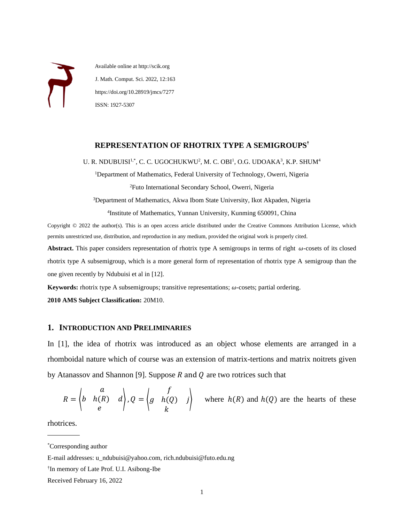Available online at http://scik.org J. Math. Comput. Sci. 2022, 12:163 https://doi.org/10.28919/jmcs/7277 ISSN: 1927-5307

# **REPRESENTATION OF RHOTRIX TYPE A SEMIGROUPS**†

U. R. NDUBUISI<sup>1,\*</sup>, C. C. UGOCHUKWU<sup>2</sup>, M. C. OBI<sup>1</sup>, O.G. UDOAKA<sup>3</sup>, K.P. SHUM<sup>4</sup>

<sup>1</sup>Department of Mathematics, Federal University of Technology, Owerri, Nigeria <sup>2</sup>Futo International Secondary School, Owerri, Nigeria

<sup>3</sup>Department of Mathematics, Akwa Ibom State University, Ikot Akpaden, Nigeria

4 Institute of Mathematics, Yunnan University, Kunming 650091, China

Copyright © 2022 the author(s). This is an open access article distributed under the Creative Commons Attribution License, which permits unrestricted use, distribution, and reproduction in any medium, provided the original work is properly cited.

Abstract. This paper considers representation of rhotrix type A semigroups in terms of right  $\omega$ -cosets of its closed rhotrix type A subsemigroup, which is a more general form of representation of rhotrix type A semigroup than the one given recently by Ndubuisi et al in [12].

**Keywords:** rhotrix type A subsemigroups; transitive representations;  $\omega$ -cosets; partial ordering.

**2010 AMS Subject Classification:** 20M10.

## **1. INTRODUCTION AND PRELIMINARIES**

In [1], the idea of rhotrix was introduced as an object whose elements are arranged in a rhomboidal nature which of course was an extension of matrix-tertions and matrix noitrets given by Atanassov and Shannon [9]. Suppose  $R$  and  $Q$  are two rotrices such that

$$
R = \begin{pmatrix} a & b & b(R) \\ b & h(R) & d \end{pmatrix}, Q = \begin{pmatrix} f & b(Q) & j \\ g & h(Q) & j \end{pmatrix}
$$
 where  $h(R)$  and  $h(Q)$  are the hearts of these

 $\mathcal{L}$  , we are the set of the set of the set of the set of the set of the set of the set of the set of the set of the set of the set of the set of the set of the set of the set of the set of the set of the set of the s rhotrices.

<sup>\*</sup>Corresponding author

E-mail addresses: u\_ndubuisi@yahoo.com, rich.ndubuisi@futo.edu.ng

<sup>†</sup> In memory of Late Prof. U.I. Asibong-Ibe

Received February 16, 2022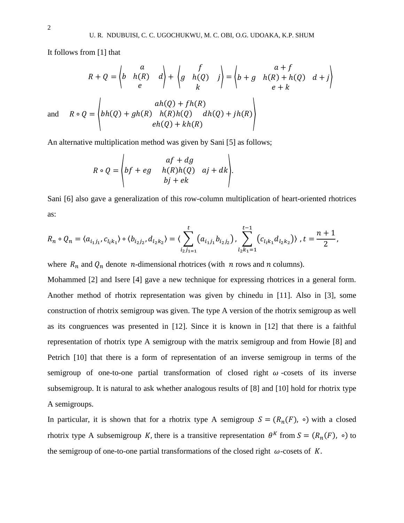It follows from [1] that

$$
R + Q = \begin{pmatrix} a & b & f \\ b & h(R) & d \\ e & & & \end{pmatrix} + \begin{pmatrix} f & b+g & a+f \\ g & h(Q) & j \\ k & & & \end{pmatrix} = \begin{pmatrix} a+f & b+g & b+g \\ b+g & h(R)+h(Q) & d+j \\ e+k & & & \end{pmatrix}
$$
  
and 
$$
R \circ Q = \begin{pmatrix} ah(Q) + gh(R) & h(R)h(Q) & dh(Q) + jh(R) \\ eh(Q) + kh(R) & & & \end{pmatrix}
$$

An alternative multiplication method was given by Sani [5] as follows;

$$
R \circ Q = \begin{pmatrix} af + dg \\ bf + eg & h(R)h(Q) & aj + dk \\ bj + ek \end{pmatrix}.
$$

Sani [6] also gave a generalization of this row-column multiplication of heart-oriented rhotrices as:

,

$$
R_n \circ Q_n = \langle a_{i_1j_1}, c_{l_ik_1} \rangle \circ \langle b_{i_2j_2}, d_{l_2k_2} \rangle = \langle \sum_{i_2j_{1=1}}^t (a_{i_1j_1}b_{i_2j_2}), \sum_{l_2k_1=1}^{t-1} (c_{l_ik_1}d_{l_2k_2}) \rangle, t = \frac{n+1}{2}
$$

where  $R_n$  and  $Q_n$  denote *n*-dimensional rhotrices (with *n* rows and *n* columns).

Mohammed [2] and Isere [4] gave a new technique for expressing rhotrices in a general form. Another method of rhotrix representation was given by chinedu in [11]. Also in [3], some construction of rhotrix semigroup was given. The type A version of the rhotrix semigroup as well as its congruences was presented in [12]. Since it is known in [12] that there is a faithful representation of rhotrix type A semigroup with the matrix semigroup and from Howie [8] and Petrich [10] that there is a form of representation of an inverse semigroup in terms of the semigroup of one-to-one partial transformation of closed right  $\omega$ -cosets of its inverse subsemigroup. It is natural to ask whether analogous results of [8] and [10] hold for rhotrix type A semigroups.

In particular, it is shown that for a rhotrix type A semigroup  $S = (R_n(F), \circ)$  with a closed rhotrix type A subsemigroup K, there is a transitive representation  $\theta^{K}$  from  $S = (R_n(F), \circ)$  to the semigroup of one-to-one partial transformations of the closed right  $\omega$ -cosets of K.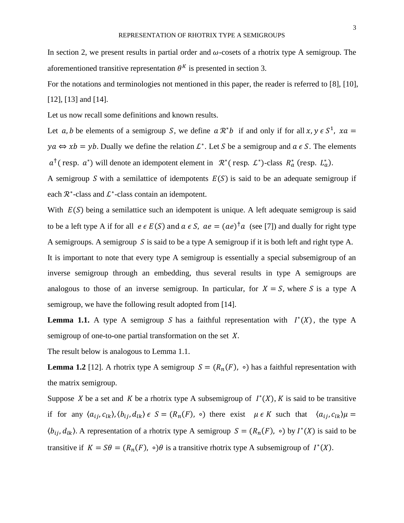For the notations and terminologies not mentioned in this paper, the reader is referred to [8], [10], [12], [13] and [14].

Let us now recall some definitions and known results.

Let a, b be elements of a semigroup S, we define  $a \mathcal{R}^* b$  if and only if for all  $x, y \in S^1$ ,  $xa =$  $ya \Leftrightarrow xb = yb$ . Dually we define the relation  $\mathcal{L}^*$ . Let S be a semigroup and  $a \in S$ . The elements  $a^{\dagger}$  (resp.  $a^*$ ) will denote an idempotent element in  $\mathcal{R}^*$  (resp.  $\mathcal{L}^*$ )-class  $R_a^*$  (resp.  $L_a^*$ ).

A semigroup S with a semilattice of idempotents  $E(S)$  is said to be an adequate semigroup if each  $\mathcal{R}^*$ -class and  $\mathcal{L}^*$ -class contain an idempotent.

With  $E(S)$  being a semilattice such an idempotent is unique. A left adequate semigroup is said to be a left type A if for all  $e \in E(S)$  and  $a \in S$ ,  $ae = (ae)^{\dagger}a$  (see [7]) and dually for right type A semigroups. A semigroup S is said to be a type A semigroup if it is both left and right type A. It is important to note that every type A semigroup is essentially a special subsemigroup of an

inverse semigroup through an embedding, thus several results in type A semigroups are analogous to those of an inverse semigroup. In particular, for  $X = S$ , where S is a type A semigroup, we have the following result adopted from [14].

**Lemma 1.1.** A type A semigroup S has a faithful representation with  $I^*(X)$ , the type A semigroup of one-to-one partial transformation on the set  $X$ .

The result below is analogous to Lemma 1.1.

**Lemma 1.2** [12]. A rhotrix type A semigroup  $S = (R_n(F), \circ)$  has a faithful representation with the matrix semigroup.

Suppose X be a set and K be a rhotrix type A subsemigroup of  $I^*(X)$ , K is said to be transitive if for any  $\langle a_{ij}, c_{lk} \rangle$ ,  $\langle b_{ij}, d_{lk} \rangle \in S = (R_n(F), \circ)$  there exist  $\mu \in K$  such that  $\langle a_{ij}, c_{lk} \rangle \mu =$  $\langle b_{ij}, d_{lk} \rangle$ . A representation of a rhotrix type A semigroup  $S = (R_n(F), \circ)$  by  $I^*(X)$  is said to be transitive if  $K = S\theta = (R_n(F), \circ)\theta$  is a transitive rhotrix type A subsemigroup of  $I^*(X)$ .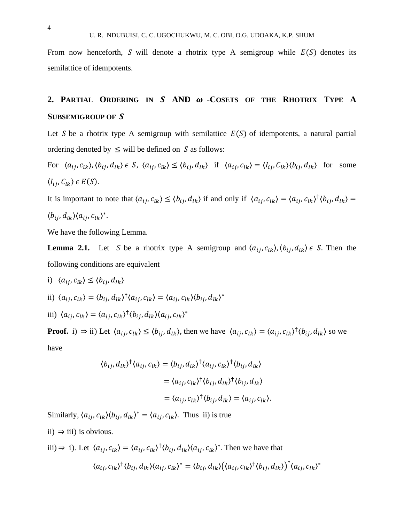From now henceforth, S will denote a rhotrix type A semigroup while  $E(S)$  denotes its semilattice of idempotents.

# **2. PARTIAL ORDERING IN AND -COSETS OF THE RHOTRIX TYPE A SUBSEMIGROUP OF**

Let S be a rhotrix type A semigroup with semilattice  $E(S)$  of idempotents, a natural partial ordering denoted by  $\leq$  will be defined on S as follows:

For  $\langle a_{ij}, c_{lk} \rangle, \langle b_{ij}, d_{lk} \rangle \in S$ ,  $\langle a_{ij}, c_{lk} \rangle \le \langle b_{ij}, d_{lk} \rangle$  if  $\langle a_{ij}, c_{lk} \rangle = \langle l_{ij}, c_{lk} \rangle \langle b_{ij}, d_{lk} \rangle$  for some  $\langle I_{ij}, C_{lk} \rangle \in E(S)$ .

It is important to note that  $\langle a_{ij}, c_{lk} \rangle \le \langle b_{ij}, d_{lk} \rangle$  if and only if  $\langle a_{ij}, c_{lk} \rangle = \langle a_{ij}, c_{lk} \rangle^{\dagger} \langle b_{ij}, d_{lk} \rangle =$  $\langle b_{ij}, d_{lk} \rangle \langle a_{ij}, c_{lk} \rangle^*$ .

We have the following Lemma.

**Lemma 2.1.** Let S be a rhotrix type A semigroup and  $\langle a_{ij}, c_{lk} \rangle$ ,  $\langle b_{ij}, d_{lk} \rangle \in S$ . Then the following conditions are equivalent

\n- i) 
$$
\langle a_{ij}, c_{lk} \rangle \leq \langle b_{ij}, d_{lk} \rangle
$$
\n- ii)  $\langle a_{ij}, c_{lk} \rangle = \langle b_{ij}, d_{lk} \rangle^{\dagger} \langle a_{ij}, c_{lk} \rangle = \langle a_{ij}, c_{lk} \rangle \langle b_{ij}, d_{lk} \rangle^*$
\n- iii)  $\langle a_{ij}, c_{lk} \rangle = \langle a_{ij}, c_{lk} \rangle^{\dagger} \langle b_{ij}, d_{lk} \rangle \langle a_{ij}, c_{lk} \rangle^*$
\n

**Proof.** i)  $\Rightarrow$  ii) Let  $\langle a_{ij}, c_{lk} \rangle \le \langle b_{ij}, d_{lk} \rangle$ , then we have  $\langle a_{ij}, c_{lk} \rangle = \langle a_{ij}, c_{lk} \rangle^{\dagger} \langle b_{ij}, d_{lk} \rangle$  so we have

$$
\langle b_{ij}, d_{lk} \rangle^{\dagger} \langle a_{ij}, c_{lk} \rangle = \langle b_{ij}, d_{lk} \rangle^{\dagger} \langle a_{ij}, c_{lk} \rangle^{\dagger} \langle b_{ij}, d_{lk} \rangle
$$
  

$$
= \langle a_{ij}, c_{lk} \rangle^{\dagger} \langle b_{ij}, d_{lk} \rangle^{\dagger} \langle b_{ij}, d_{lk} \rangle
$$
  

$$
= \langle a_{ij}, c_{lk} \rangle^{\dagger} \langle b_{ij}, d_{lk} \rangle = \langle a_{ij}, c_{lk} \rangle.
$$

Similarly,  $\langle a_{ij}, c_{lk} \rangle \langle b_{ij}, d_{lk} \rangle^* = \langle a_{ij}, c_{lk} \rangle$ . Thus ii) is true

ii)  $\Rightarrow$  iii) is obvious.

iii) ⇒ i). Let  $\langle a_{ij}, c_{lk} \rangle = \langle a_{ij}, c_{lk} \rangle^{\dagger} \langle b_{ij}, d_{lk} \rangle \langle a_{ij}, c_{lk} \rangle^*$ . Then we have that

$$
\langle a_{ij},c_{lk}\rangle^{\dagger}\langle b_{ij},d_{lk}\rangle\langle a_{ij},c_{lk}\rangle^* = \langle b_{ij},d_{lk}\rangle\big(\langle a_{ij},c_{lk}\rangle^{\dagger}\langle b_{ij},d_{lk}\rangle\big)^*\langle a_{ij},c_{lk}\rangle^*
$$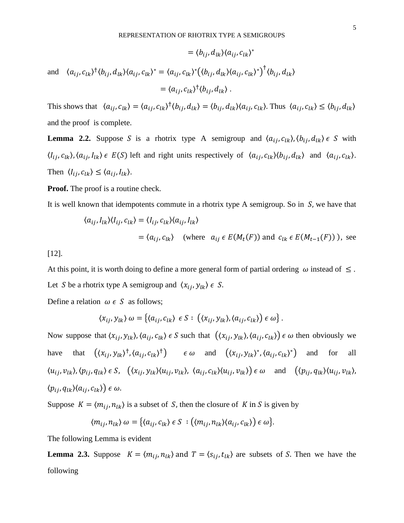$$
= \langle b_{ij}, d_{lk} \rangle \langle a_{ij}, c_{lk} \rangle^*
$$
  
and 
$$
\langle a_{ij}, c_{lk} \rangle^{\dagger} \langle b_{ij}, d_{lk} \rangle \langle a_{ij}, c_{lk} \rangle^* = \langle a_{ij}, c_{lk} \rangle^* \big( \langle b_{ij}, d_{lk} \rangle \langle a_{ij}, c_{lk} \rangle^* \big)^{\dagger} \langle b_{ij}, d_{lk} \rangle
$$

$$
= \langle a_{ij}, c_{lk} \rangle^{\dagger} \langle b_{ij}, d_{lk} \rangle .
$$

This shows that  $\langle a_{ij}, c_{lk} \rangle = \langle a_{ij}, c_{lk} \rangle^{\dagger} \langle b_{ij}, d_{lk} \rangle = \langle b_{ij}, d_{lk} \rangle \langle a_{ij}, c_{lk} \rangle$ . Thus  $\langle a_{ij}, c_{lk} \rangle \leq \langle b_{ij}, d_{lk} \rangle$ and the proof is complete.

**Lemma 2.2.** Suppose S is a rhotrix type A semigroup and  $\langle a_{ij}, c_{lk} \rangle$ ,  $\langle b_{ij}, d_{lk} \rangle \in S$  with  $\langle l_{ij}, c_{lk} \rangle$ ,  $\langle a_{ij}, l_{lk} \rangle \in E(S)$  left and right units respectively of  $\langle a_{ij}, c_{lk} \rangle \langle b_{ij}, d_{lk} \rangle$  and  $\langle a_{ij}, c_{lk} \rangle$ . Then  $\langle I_{ij}, c_{lk} \rangle \le \langle a_{ij}, I_{lk} \rangle$ .

**Proof.** The proof is a routine check.

It is well known that idempotents commute in a rhotrix type A semigroup. So in  $S$ , we have that

$$
\langle a_{ij}, I_{lk} \rangle \langle I_{ij}, c_{lk} \rangle = \langle I_{ij}, c_{lk} \rangle \langle a_{ij}, I_{lk} \rangle
$$
  
=  $\langle a_{ij}, c_{lk} \rangle$  (where  $a_{ij} \in E(M_t(F))$  and  $c_{lk} \in E(M_{t-1}(F))$ ), see

[12].

At this point, it is worth doing to define a more general form of partial ordering  $\omega$  instead of  $\leq$ . Let S be a rhotrix type A semigroup and  $\langle x_{ij}, y_{lk} \rangle \in S$ .

Define a relation  $\omega \in S$  as follows;

$$
\langle x_{ij}, y_{lk} \rangle \omega = \{ \langle a_{ij}, c_{lk} \rangle \in S : ((x_{ij}, y_{lk}), \langle a_{ij}, c_{lk} \rangle) \in \omega \}.
$$

Now suppose that  $\langle x_{i}, y_{lk} \rangle$ ,  $\langle a_{i}, c_{lk} \rangle \in S$  such that  $(\langle x_{i}, y_{lk} \rangle, \langle a_{i}, c_{lk} \rangle) \in \omega$  then obviously we have that  $((x_{ij}, y_{lk})^{\dagger}, (a_{ij}, c_{lk})^{\dagger})$   $\in \omega$  and  $((x_{ij}, y_{lk})^{\ast}, (a_{ij}, c_{lk})^{\ast})$ ) and for all  $\langle u_{ij}, v_{lk} \rangle, \langle p_{ij}, q_{lk} \rangle \in S$ ,  $(\langle x_{ij}, y_{lk} \rangle \langle u_{ij}, v_{lk} \rangle, \langle a_{ij}, c_{lk} \rangle \langle u_{ij}, v_{lk} \rangle) \in \omega$  and  $(\langle p_{ij}, q_{lk} \rangle \langle u_{ij}, v_{lk} \rangle,$  $\langle p_{ij}, q_{lk} \rangle \langle a_{ij}, c_{lk} \rangle \in \omega.$ 

Suppose  $K = \langle m_{ij}, n_{lk} \rangle$  is a subset of S, then the closure of K in S is given by

$$
\langle m_{ij}, n_{lk} \rangle \omega = \{ \langle a_{ij}, c_{lk} \rangle \in S \ : \big( \langle m_{ij}, n_{lk} \rangle \langle a_{ij}, c_{lk} \rangle \big) \in \omega \}.
$$

The following Lemma is evident

**Lemma 2.3.** Suppose  $K = \langle m_{ij}, n_{lk} \rangle$  and  $T = \langle s_{ij}, t_{lk} \rangle$  are subsets of S. Then we have the following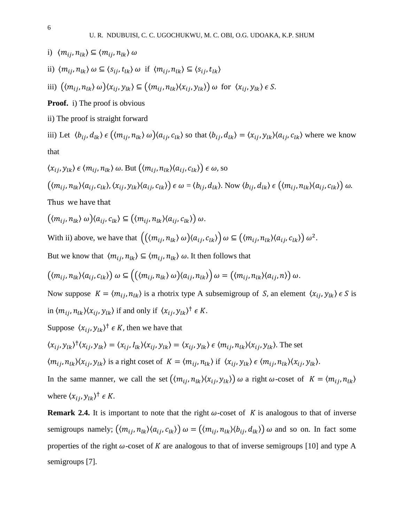- i)  $\langle m_{ij}, n_{lk} \rangle \subseteq \langle m_{ij}, n_{lk} \rangle \omega$
- ii)  $\langle m_{ij}, n_{lk} \rangle$   $\omega \subseteq \langle s_{ij}, t_{lk} \rangle$   $\omega$  if  $\langle m_{ij}, n_{lk} \rangle \subseteq \langle s_{ij}, t_{lk} \rangle$

iii) 
$$
(\langle m_{ij}, n_{lk} \rangle \omega) \langle x_{ij}, y_{lk} \rangle \subseteq ((m_{ij}, n_{lk}) \langle x_{ij}, y_{lk} \rangle) \omega \text{ for } \langle x_{ij}, y_{lk} \rangle \in S.
$$

**Proof.** i) The proof is obvious

ii) The proof is straight forward

iii) Let  $\langle b_{ij}, d_{lk} \rangle \in \left( \langle m_{ij}, n_{lk} \rangle \omega \right) \langle a_{ij}, c_{lk} \rangle$  so that  $\langle b_{ij}, d_{lk} \rangle = \langle x_{ij}, y_{lk} \rangle \langle a_{ij}, c_{lk} \rangle$  where we know that

$$
\langle x_{ij}, y_{lk} \rangle \in \langle m_{ij}, n_{lk} \rangle \omega. \text{ But } \big( \langle m_{ij}, n_{lk} \rangle \langle a_{ij}, c_{lk} \rangle \big) \in \omega, \text{ so}
$$
\n
$$
\big( \langle m_{ij}, n_{lk} \rangle \langle a_{ij}, c_{lk} \rangle, \langle x_{ij}, y_{lk} \rangle \langle a_{ij}, c_{lk} \rangle \big) \in \omega = \langle b_{ij}, d_{lk} \rangle. \text{ Now } \langle b_{ij}, d_{lk} \rangle \in \big( \langle m_{ij}, n_{lk} \rangle \langle a_{ij}, c_{lk} \rangle \big) \omega.
$$

Thus we have that

$$
((m_{ij}, n_{lk}) \omega)(a_{ij}, c_{lk}) \subseteq ((m_{ij}, n_{lk})(a_{ij}, c_{lk})) \omega.
$$

With ii) above, we have that  $((\langle m_{ij}, n_{lk} \rangle \omega) \langle a_{ij}, c_{lk} \rangle) \omega \subseteq (\langle m_{ij}, n_{lk} \rangle \langle a_{ij}, c_{lk} \rangle) \omega^2$ .

But we know that  $\langle m_{ij}, n_{lk} \rangle \subseteq \langle m_{ij}, n_{lk} \rangle$   $\omega$ . It then follows that

$$
((m_{ij}, n_{lk})(a_{ij}, c_{lk})) \omega \subseteq ((\langle m_{ij}, n_{lk} \rangle \omega) \langle a_{ij}, n_{lk} \rangle) \omega = (\langle m_{ij}, n_{lk} \rangle \langle a_{ij}, n \rangle) \omega.
$$

Now suppose  $K = \langle m_{ij}, n_{lk} \rangle$  is a rhotrix type A subsemigroup of S, an element  $\langle x_{ij}, y_{lk} \rangle \in S$  is in  $\langle m_{ij}, n_{lk} \rangle \langle x_{ij}, y_{lk} \rangle$  if and only if  $\langle x_{ij}, y_{lk} \rangle^{\dagger} \in K$ .

Suppose  $\langle x_{ij}, y_{lk} \rangle^{\dagger} \in K$ , then we have that

$$
\langle x_{ij}, y_{lk} \rangle^{\dagger} \langle x_{ij}, y_{lk} \rangle = \langle x_{ij}, I_{lk} \rangle \langle x_{ij}, y_{lk} \rangle = \langle x_{ij}, y_{lk} \rangle \in \langle m_{ij}, n_{lk} \rangle \langle x_{ij}, y_{lk} \rangle.
$$
 The set

 $\langle m_{ij}, n_{lk} \rangle \langle x_{ij}, y_{lk} \rangle$  is a right coset of  $K = \langle m_{ij}, n_{lk} \rangle$  if  $\langle x_{ij}, y_{lk} \rangle \in \langle m_{ij}, n_{lk} \rangle \langle x_{ij}, y_{lk} \rangle$ .

In the same manner, we call the set  $((m_{ij}, n_{lk})\langle x_{ij}, y_{lk}\rangle)$   $\omega$  a right  $\omega$ -coset of  $K = \langle m_{ij}, n_{lk}\rangle$ where  $\langle x_{ij}, y_{lk} \rangle^{\dagger} \in K$ .

**Remark 2.4.** It is important to note that the right  $\omega$ -coset of K is analogous to that of inverse semigroups namely;  $((m_{ij}, n_{lk})(a_{ij}, c_{lk}))$   $\omega = ((m_{ij}, n_{lk})(b_{ij}, d_{lk}))$   $\omega$  and so on. In fact some properties of the right  $\omega$ -coset of K are analogous to that of inverse semigroups [10] and type A semigroups [7].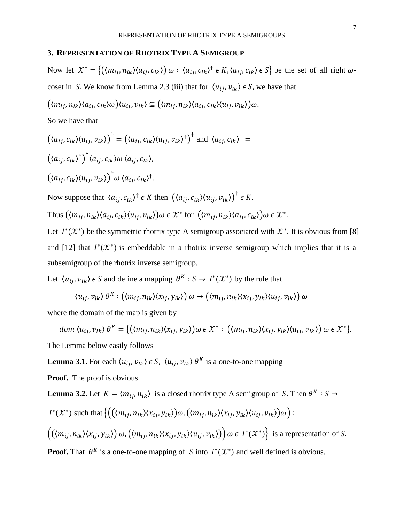#### **3. REPRESENTATION OF RHOTRIX TYPE A SEMIGROUP**

Now let  $\mathcal{X}^* = \{((m_{ij}, n_{lk})(a_{ij}, c_{lk})) \omega : (a_{ij}, c_{lk})^{\dagger} \in K, \langle a_{ij}, c_{lk} \rangle \in S\}$  be the set of all right  $\omega$ coset in S. We know from Lemma 2.3 (iii) that for  $\langle u_{ij}, v_{lk} \rangle \in S$ , we have that

$$
(\langle m_{ij}, n_{lk} \rangle \langle a_{ij}, c_{lk} \rangle \omega) \langle u_{ij}, v_{lk} \rangle \subseteq (\langle m_{ij}, n_{lk} \rangle \langle a_{ij}, c_{lk} \rangle \langle u_{ij}, v_{lk} \rangle) \omega.
$$

So we have that

$$
((a_{ij}, c_{lk})\langle u_{ij}, v_{lk}\rangle)^{\dagger} = ((a_{ij}, c_{lk})\langle u_{ij}, v_{lk}\rangle^{\dagger})^{\dagger} \text{ and } \langle a_{ij}, c_{lk}\rangle^{\dagger} =
$$
  

$$
((a_{ij}, c_{lk})^{\dagger})^{\dagger} \langle a_{ij}, c_{lk}\rangle \omega \langle a_{ij}, c_{lk}\rangle,
$$
  

$$
((a_{ij}, c_{lk})\langle u_{ij}, v_{lk}\rangle)^{\dagger} \omega \langle a_{ij}, c_{lk}\rangle^{\dagger}.
$$

Now suppose that  $\langle a_{ij}, c_{lk} \rangle^{\dagger} \in K$  then  $(\langle a_{ij}, c_{lk} \rangle \langle u_{ij}, v_{lk} \rangle)^{\dagger} \in K$ .

Thus  $(\langle m_{ij}, n_{lk} \rangle \langle a_{ij}, c_{lk} \rangle \langle u_{ij}, v_{lk} \rangle) \omega \in \mathcal{X}^*$  for  $((m_{ij}, n_{lk}) \langle a_{ij}, c_{lk} \rangle) \omega \in \mathcal{X}^*$ .

Let  $I^*(X^*)$  be the symmetric rhotrix type A semigroup associated with  $X^*$ . It is obvious from [8] and [12] that  $I^*(\mathcal{X}^*)$  is embeddable in a rhotrix inverse semigroup which implies that it is a subsemigroup of the rhotrix inverse semigroup.

Let  $\langle u_{ij}, v_{lk} \rangle \in S$  and define a mapping  $\theta^K : S \to I^*(\mathcal{X}^*)$  by the rule that

$$
\langle u_{ij}, v_{lk} \rangle \theta^K : ((m_{ij}, n_{lk}) \langle x_{ij}, y_{lk} \rangle) \omega \rightarrow ((m_{ij}, n_{lk}) \langle x_{ij}, y_{lk} \rangle \langle u_{ij}, v_{lk} \rangle) \omega
$$

where the domain of the map is given by

$$
dom(u_{ij},v_{lk})\theta^K = \{((m_{ij},n_{lk})(x_{ij},y_{lk}))\omega \in \mathcal{X}^* : ((m_{ij},n_{lk})(x_{ij},y_{lk})(u_{ij},v_{lk})) \omega \in \mathcal{X}^*\}.
$$

The Lemma below easily follows

**Lemma 3.1.** For each  $\langle u_{ij}, v_{lk} \rangle \in S$ ,  $\langle u_{ij}, v_{lk} \rangle \theta^K$  is a one-to-one mapping

**Proof.** The proof is obvious

**Lemma 3.2.** Let  $K = \langle m_{ij}, n_{lk} \rangle$  is a closed rhotrix type A semigroup of S. Then  $\theta^K : S \to$ 

$$
I^*(\mathcal{X}^*) \text{ such that } \left\{ \left( (\langle m_{ij}, n_{lk} \rangle \langle x_{ij}, y_{lk} \rangle) \omega, (\langle m_{ij}, n_{lk} \rangle \langle x_{ij}, y_{lk} \rangle \langle u_{ij}, v_{lk} \rangle) \omega \right) : \right.
$$
  

$$
\left( (\langle m_{ij}, n_{lk} \rangle \langle x_{ij}, y_{lk} \rangle) \omega, (\langle m_{ij}, n_{lk} \rangle \langle x_{ij}, y_{lk} \rangle \langle u_{ij}, v_{lk} \rangle) \right) \omega \in I^*(\mathcal{X}^*) \right\} \text{ is a representation of } S.
$$

**Proof.** That  $\theta^K$  is a one-to-one mapping of S into  $I^*(\mathcal{X}^*)$  and well defined is obvious.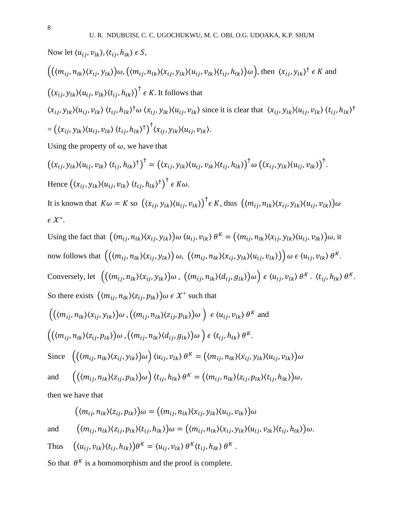Now let 
$$
\langle u_{ij}, v_{lk}\rangle, \langle t_{ij}, h_{lk}\rangle \in S
$$
,  
\n $\left( (\langle m_{ij}, n_{lk}\rangle \langle x_{ij}, y_{lk}\rangle) \omega, (\langle m_{ij}, n_{lk}\rangle \langle x_{ij}, y_{lk}\rangle \langle u_{ij}, v_{lk}\rangle \langle t_{ij}, h_{lk}\rangle) \omega \right)$ , then  $\langle x_{ij}, y_{lk}\rangle^{\dagger} \in K$  and  
\n $\left( \langle x_{ij}, y_{lk}\rangle \langle u_{ij}, v_{lk}\rangle \langle t_{ij}, h_{lk}\rangle \right)^{\dagger} \in K$ . It follows that  
\n $\langle x_{ij}, y_{lk}\rangle \langle u_{ij}, v_{lk}\rangle \langle t_{ij}, h_{lk}\rangle^{\dagger} \omega \langle x_{ij}, y_{lk}\rangle \langle u_{ij}, v_{lk}\rangle$  since it is clear that  $\langle x_{ij}, y_{lk}\rangle \langle u_{ij}, v_{lk}\rangle \langle t_{ij}, h_{lk}\rangle^{\dagger}$   
\n $= \left( \langle x_{ij}, y_{lk}\rangle \langle u_{ij}, v_{lk}\rangle \langle t_{ij}, h_{lk}\rangle^{\dagger} \right)^{\dagger} \langle x_{ij}, y_{lk}\rangle \langle u_{ij}, v_{lk}\rangle.$ 

Using the property of  $\omega$ , we have that

$$
(\langle x_{ij}, y_{lk} \rangle \langle u_{ij}, v_{lk} \rangle \langle t_{ij}, h_{lk} \rangle^{\dagger})^{\dagger} = (\langle x_{ij}, y_{lk} \rangle \langle u_{ij}, v_{lk} \rangle \langle t_{ij}, h_{lk} \rangle)^{\dagger} \omega (\langle x_{ij}, y_{lk} \rangle \langle u_{ij}, v_{lk} \rangle)^{\dagger}.
$$
  
Hence 
$$
(\langle x_{ij}, y_{lk} \rangle \langle u_{ij}, v_{lk} \rangle \langle t_{ij}, h_{lk} \rangle^{\dagger})^{\dagger} \in K \omega.
$$

It is known that  $K\omega = K$  so  $((x_{ij}, y_{lk})(u_{ij}, v_{lk}))^{\dagger} \in K$ , thus  $((m_{ij}, n_{lk})(x_{ij}, y_{lk})(u_{ij}, v_{lk}))\omega$  $\epsilon$   $\mathcal{X}^*$ .

Using the fact that 
$$
((m_{ij}, n_{lk})\langle x_{ij}, y_{lk})\omega \langle u_{ij}, v_{lk} \rangle \theta^K = ((m_{ij}, n_{lk})\langle x_{ij}, y_{lk})\langle u_{ij}, v_{lk} \rangle)
$$
 in  
now follows that  $((\langle m_{ij}, n_{lk} \rangle \langle x_{ij}, y_{lk} \rangle) \omega, ((m_{ij}, n_{lk})\langle x_{ij}, y_{lk} \rangle \langle u_{ij}, v_{lk} \rangle)) \omega \in \langle u_{ij}, v_{lk} \rangle \theta^K$ .  
Conversely, let  $((\langle m_{ij}, n_{lk} \rangle \langle x_{ij}, y_{lk} \rangle) \omega, ((m_{ij}, n_{lk})\langle d_{ij}, g_{lk} \rangle) \omega) \in \langle u_{ij}, v_{lk} \rangle \theta^K \cdot \langle t_{ij}, h_{lk} \rangle \theta^K$ .  
So there exists  $(\langle m_{ij}, n_{lk} \rangle \langle z_{ij}, p_{lk} \rangle) \omega \in X^*$  such that  
 $((\langle m_{ij}, n_{lk} \rangle \langle x_{ij}, y_{lk} \rangle) \omega, ((m_{ij}, n_{lk})\langle z_{ij}, p_{lk} \rangle) \omega) \in \langle u_{ij}, v_{lk} \rangle \theta^K$  and  
 $((\langle m_{ij}, n_{lk} \rangle \langle z_{ij}, p_{lk} \rangle) \omega, ((m_{ij}, n_{lk})\langle d_{ij}, g_{lk} \rangle) \omega) \in \langle t_{ij}, h_{lk} \rangle \theta^K$ .  
Since  $((\langle m_{ij}, n_{lk} \rangle \langle x_{ij}, y_{lk} \rangle) \omega) \langle u_{ij}, v_{lk} \rangle \theta^K = ((m_{ij}, n_{lk})\langle x_{ij}, y_{lk} \rangle \langle u_{ij}, v_{lk} \rangle) \omega$ ,  
and  $((\langle m_{ij}, n_{lk} \rangle \langle z_{ij}, p_{lk} \rangle) \omega) \langle t_{ij}, h_{lk} \rangle \theta^K = ((m_{ij}, n_{lk})\langle z_{ij}, p_{lk} \rangle \langle t_{ij}, h_{lk} \rangle) \omega$ ,  
then we have that

$$
((m_{ij}, n_{lk})\langle z_{ij}, p_{lk}\rangle)\omega = ((m_{ij}, n_{lk})\langle x_{ij}, y_{lk}\rangle\langle u_{ij}, v_{lk}\rangle)\omega
$$
  
and 
$$
((m_{ij}, n_{lk})\langle z_{ij}, p_{lk}\rangle\langle t_{ij}, h_{lk}\rangle)\omega = ((m_{ij}, n_{lk})\langle x_{ij}, y_{lk}\rangle\langle u_{ij}, v_{lk}\rangle\langle t_{ij}, h_{lk}\rangle)\omega.
$$

Thus 
$$
((u_{ij}, v_{lk})\langle t_{ij}, h_{lk}\rangle)\theta^K = \langle u_{ij}, v_{lk}\rangle \theta^K \langle t_{ij}, h_{lk}\rangle \theta^K
$$
.

So that  $\theta^{K}$  is a homomorphism and the proof is complete.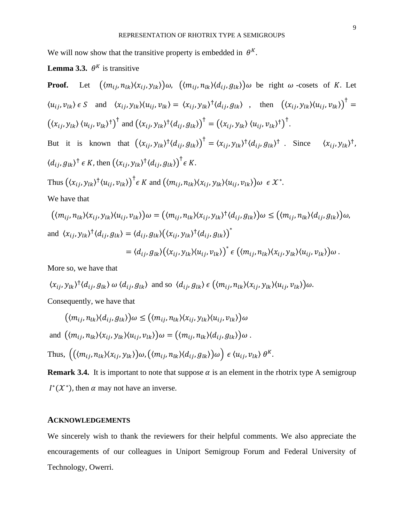We will now show that the transitive property is embedded in  $\theta^{K}$ .

## **Lemma 3.3.**  $\theta^K$  is transitive

Proof. Let 
$$
((m_{ij}, n_{lk})\langle x_{ij}, y_{lk})\omega, ((m_{ij}, n_{lk})\langle d_{ij}, g_{lk})\omega)
$$
 be right  $\omega$ -cosets of *K*. Let  
\n $\langle u_{ij}, v_{lk} \rangle \epsilon S$  and  $\langle x_{ij}, y_{lk} \rangle \langle u_{ij}, v_{lk} \rangle = \langle x_{ij}, y_{lk} \rangle^{\dagger} \langle d_{ij}, g_{lk} \rangle$ , then  $(\langle x_{ij}, y_{lk} \rangle \langle u_{ij}, v_{lk} \rangle)^{\dagger} = (\langle x_{ij}, y_{lk}, \langle u_{ij}, v_{lk} \rangle^{\dagger})^{\dagger}$   
\nBut it is known that  $(\langle x_{ij}, y_{lk} \rangle^{\dagger} \langle d_{ij}, g_{lk} \rangle)^{\dagger} = \langle x_{ij}, y_{lk} \rangle^{\dagger} \langle d_{ij}, g_{lk} \rangle^{\dagger}$ . Since  $\langle x_{ij}, y_{lk} \rangle^{\dagger}$ ,  
\n $\langle d_{ij}, g_{lk} \rangle^{\dagger} \epsilon K$ , then  $(\langle x_{ij}, y_{lk} \rangle^{\dagger} \langle d_{ij}, g_{lk} \rangle)^{\dagger} \epsilon K$ .  
\nThus  $(\langle x_{ij}, y_{lk} \rangle^{\dagger} \langle u_{ij}, v_{lk} \rangle)^{\dagger} \epsilon K$  and  $(\langle m_{ij}, n_{lk} \rangle \langle x_{ij}, y_{lk} \rangle \langle u_{ij}, v_{lk} \rangle) \omega \epsilon X^*$ .  
\nWe have that  
\n $(\langle m_{ij}, n_{lk} \rangle \langle x_{ij}, y_{lk} \rangle \langle u_{ij}, v_{lk} \rangle) \omega = (\langle m_{ij}, n_{lk} \rangle \langle x_{ij}, y_{lk} \rangle \langle d_{ij}, g_{lk} \rangle) \omega \leq (\langle m_{ij}, n_{lk} \rangle \langle d_{ij}, g_{lk} \rangle) \omega$ ,  
\nand  $\langle x_{ij}, y_{lk} \rangle^{\dagger} \langle d_{ij}, g_{lk} \rangle = \langle d_{ij}, g_{lk} \rangle (\langle x_{ij}, y_{lk} \rangle^{\dagger} \langle d_{ij}, g_{lk} \rangle)^{*}$ 

$$
= \langle d_{ij}, g_{lk} \rangle (\langle x_{ij}, y_{lk} \rangle \langle u_{ij}, v_{lk} \rangle)^* \in \big( \langle m_{ij}, n_{lk} \rangle \langle x_{ij}, y_{lk} \rangle \langle u_{ij}, v_{lk} \rangle \big) \omega.
$$

 $\sim$ 

More so, we have that

$$
\langle x_{ij}, y_{lk} \rangle^{\dagger} \langle d_{ij}, g_{lk} \rangle \omega \langle d_{ij}, g_{lk} \rangle \text{ and so } \langle d_{ij}, g_{lk} \rangle \in \left( \langle m_{ij}, n_{lk} \rangle \langle x_{ij}, y_{lk} \rangle \langle u_{ij}, v_{lk} \rangle \right) \omega.
$$

Consequently, we have that

$$
(\langle m_{ij}, n_{lk} \rangle \langle d_{ij}, g_{lk} \rangle) \omega \leq (\langle m_{ij}, n_{lk} \rangle \langle x_{ij}, y_{lk} \rangle \langle u_{ij}, v_{lk} \rangle) \omega
$$
  
and 
$$
(\langle m_{ij}, n_{lk} \rangle \langle x_{ij}, y_{lk} \rangle \langle u_{ij}, v_{lk} \rangle) \omega = (\langle m_{ij}, n_{lk} \rangle \langle d_{ij}, g_{lk} \rangle) \omega.
$$
  
Thus, 
$$
((\langle m_{ij}, n_{lk} \rangle \langle x_{ij}, y_{lk} \rangle) \omega, (\langle m_{ij}, n_{lk} \rangle \langle d_{ij}, g_{lk} \rangle) \omega) \in \langle u_{ij}, v_{lk} \rangle \theta^K.
$$

**Remark 3.4.** It is important to note that suppose  $\alpha$  is an element in the rhotrix type A semigroup  $I^*(\mathcal{X}^*)$ , then  $\alpha$  may not have an inverse.

## **ACKNOWLEDGEMENTS**

We sincerely wish to thank the reviewers for their helpful comments. We also appreciate the encouragements of our colleagues in Uniport Semigroup Forum and Federal University of Technology, Owerri.